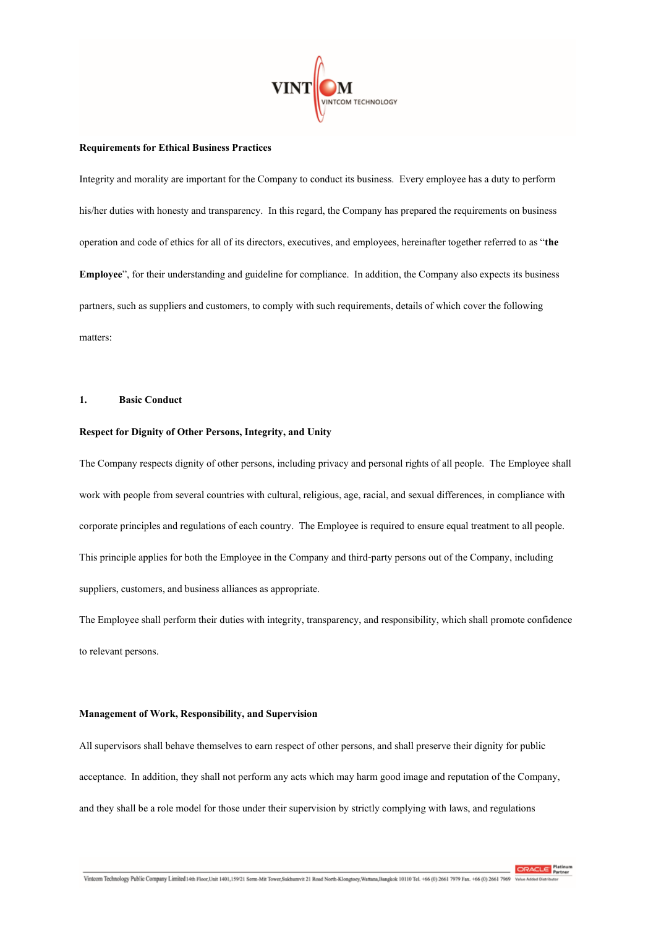

### **Requirements for Ethical Business Practices**

Integrity and morality are important for the Company to conduct its business. Every employee has a duty to perform his/her duties with honesty and transparency. In this regard, the Company has prepared the requirements on business operation and code of ethics for all of its directors, executives, and employees, hereinafter together referred to as "**the Employee**", for their understanding and guideline for compliance. In addition, the Company also expects its business partners, such as suppliers and customers, to comply with such requirements, details of which cover the following matters:

## **1. Basic Conduct**

### **Respect for Dignity of Other Persons, Integrity, and Unity**

The Company respects dignity of other persons, including privacy and personal rights of all people. The Employee shall work with people from several countries with cultural, religious, age, racial, and sexual differences, in compliance with corporate principles and regulations of each country. The Employee is required to ensure equal treatment to all people. This principle applies for both the Employee in the Company and third-party personsout of the Company, including suppliers, customers, and business alliances as appropriate.

The Employee shall perform their duties with integrity, transparency, and responsibility, which shall promote confidence to relevant persons.

### **Management of Work, Responsibility, and Supervision**

All supervisors shall behave themselves to earn respect of other persons, and shall preserve their dignity for public acceptance. In addition, they shall not perform any acts which may harm good image and reputation of the Company, and they shall be a role model for those under their supervision by strictly complying with laws, and regulations

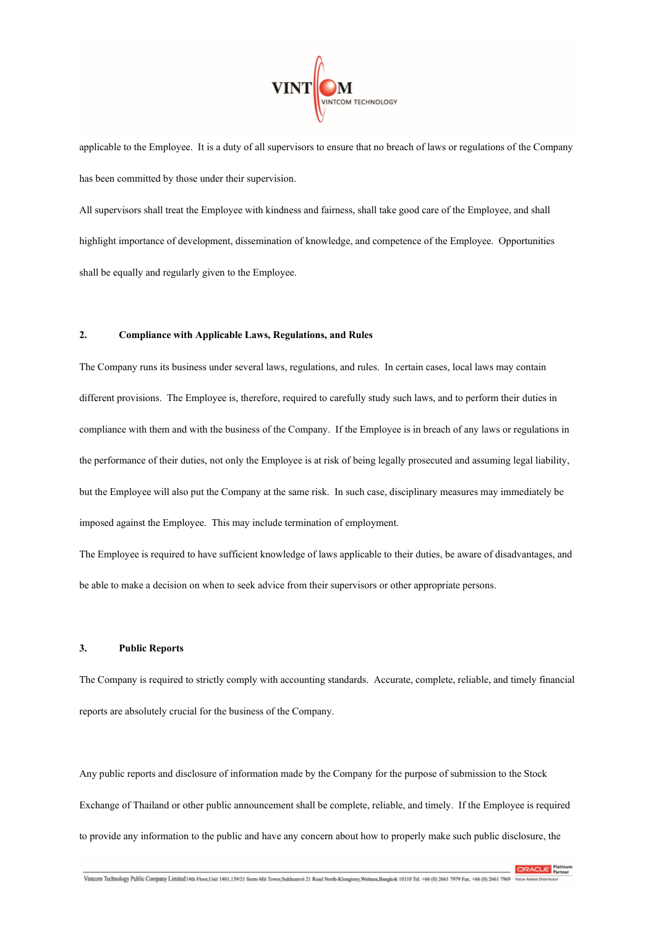

applicable to the Employee. It is a duty of all supervisors to ensure that no breach of laws or regulations of the Company has been committed by those under their supervision.

All supervisors shall treat the Employee with kindness and fairness, shall take good care of the Employee, and shall highlight importance of development, dissemination of knowledge, and competence of the Employee. Opportunities shall be equally and regularly given to the Employee.

# **2. Compliance with Applicable Laws, Regulations, and Rules**

The Company runs its business under several laws, regulations, and rules. In certain cases, local laws may contain different provisions. The Employee is, therefore, required to carefully study such laws, and to perform their duties in compliance with them and with the business of the Company. If the Employee is in breach of any laws or regulations in the performance of their duties, not only the Employee is at risk of being legally prosecuted and assuming legal liability, but the Employee will also put the Company at the same risk. In such case, disciplinary measures may immediately be imposed against the Employee. This may include termination of employment.

The Employee is required to have sufficient knowledge of laws applicable to their duties, be aware of disadvantages, and be able to make a decision on when to seek advice from their supervisors or other appropriate persons.

### **3. Public Reports**

The Company is required to strictly comply with accounting standards. Accurate, complete, reliable, and timely financial reports are absolutely crucial for the business of the Company.

Any public reports and disclosure of information made by the Company for the purpose of submission to the Stock Exchange of Thailand or other public announcement shall be complete, reliable, and timely. If the Employee is required to provide any information to the public and have any concern about how to properly make such public disclosure, the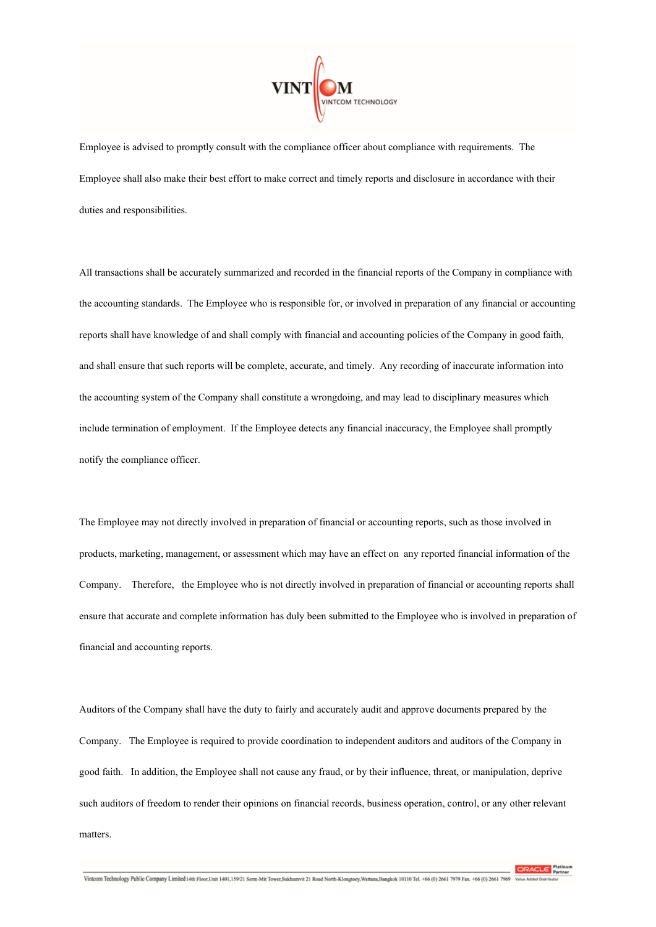

Employee is advised to promptly consult with the compliance officer about compliance with requirements. The Employee shall also make their best effort to make correct and timely reports and disclosure in accordance with their duties and responsibilities.

All transactions shall be accurately summarized and recorded in the financial reports of the Company in compliance with the accounting standards. The Employee who is responsible for, or involved in preparation of any financial or accounting reports shall have knowledge of and shall comply with financial and accounting policies of the Company in good faith, and shall ensure that such reports will be complete, accurate, and timely. Any recording of inaccurate information into the accounting system of the Company shall constitute a wrongdoing, and may lead to disciplinary measures which include termination of employment. If the Employee detects any financial inaccuracy, the Employee shall promptly notify the compliance officer.

The Employee may not directly involved in preparation of financial or accounting reports, such as those involved in products, marketing, management, or assessment which may have an effect on any reported financial information of the Company. Therefore, the Employee who is not directly involved in preparation of financial or accounting reports shall ensure that accurate and complete information has duly been submitted to the Employee who is involved in preparation of financial and accounting reports.

Auditors of the Company shall have the duty to fairly and accurately audit and approve documents prepared by the Company. The Employee is required to provide coordination to independent auditors and auditors of the Company in good faith. In addition, the Employee shall not cause any fraud, or by their influence, threat, or manipulation, deprive such auditors of freedom to render their opinions on financial records, business operation, control, or any other relevant matters.

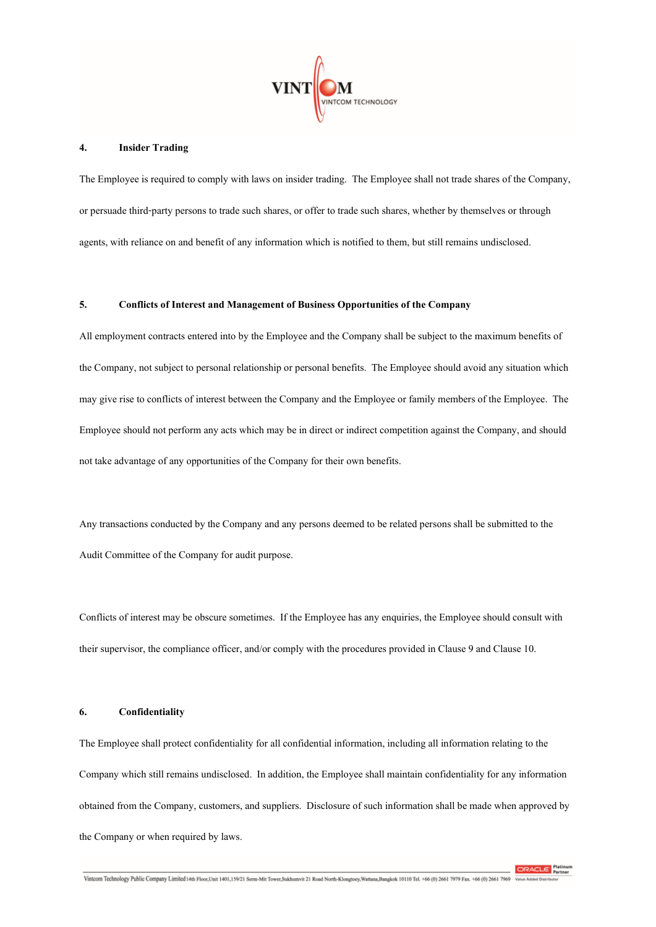

### **4. Insider Trading**

The Employee is required to comply with laws on insider trading. The Employee shall not trade shares of the Company, or persuade third-party persons to trade such shares, or offer to trade such shares, whether by themselves or through agents, with reliance on and benefit of any information which is notified to them, but still remains undisclosed.

## **5. Conflicts of Interest and Management of Business Opportunities of the Company**

All employment contracts entered into by the Employee and the Company shall be subject to the maximum benefits of the Company, not subject to personal relationship or personal benefits. The Employee should avoid any situation which may give rise to conflicts of interest between the Company and the Employee or family members of the Employee. The Employee should not perform any acts which may be in direct or indirect competition against the Company, and should not take advantage of any opportunities of the Company for their own benefits.

Any transactions conducted by the Company and any persons deemed to be related persons shall be submitted to the Audit Committee of the Company for audit purpose.

Conflicts of interest may be obscure sometimes. If the Employee has any enquiries, the Employee should consult with their supervisor, the compliance officer, and/or comply with the procedures provided in Clause 9 and Clause 10.

## **6. Confidentiality**

The Employee shall protect confidentiality for all confidential information, including all information relating to the Company which still remains undisclosed. In addition, the Employee shall maintain confidentiality for any information obtained from the Company, customers, and suppliers. Disclosure of such information shall be made when approved by the Company or when required by laws.

ORACLE<sup>Phine</sup>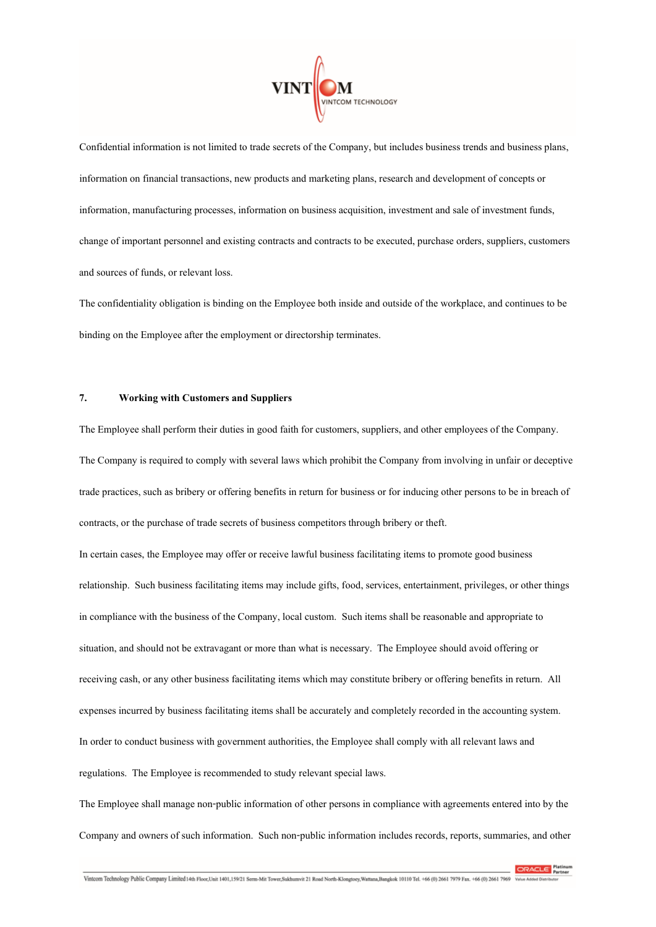

Confidential information is not limited to trade secrets of the Company, but includes business trends and business plans, information on financial transactions, new products and marketing plans, research and development of concepts or information, manufacturing processes, information on business acquisition, investment and sale of investment funds, change of important personnel andexisting contracts and contracts to be executed, purchase orders, suppliers, customers and sources of funds, or relevant loss.

The confidentiality obligation is binding on the Employee both inside and outside of the workplace, and continues to be binding on the Employee after the employment or directorship terminates.

## **7. Working with Customers and Suppliers**

The Employee shall perform their duties in good faith for customers, suppliers, and other employees of the Company. The Company is required to comply with several laws which prohibit the Company from involving in unfair or deceptive trade practices, such as bribery or offering benefits in return for businessor for inducing other persons to be in breach of contracts, or the purchase of trade secrets of business competitors through bribery or theft.

In certain cases, the Employee may offer or receive lawful business facilitating items to promote good business relationship. Such business facilitating items may include gifts, food, services, entertainment,privileges, or other things in compliance with the business of the Company, local custom. Such items shall be reasonable and appropriate to situation, and should not be extravagant or more than what is necessary. The Employee should avoid offering or receiving cash,or any other business facilitating items which may constitute bribery or offering benefits in return. All expenses incurred by business facilitating items shall be accurately and completely recorded in the accounting system. In order to conduct business with government authorities, the Employee shall comply with all relevant laws and regulations. The Employee is recommended to study relevant special laws.

The Employee shall manage non-public information of other persons in compliance with agreements entered into by the Company and owners of such information. Such non-public information includes records, reports, summaries, and other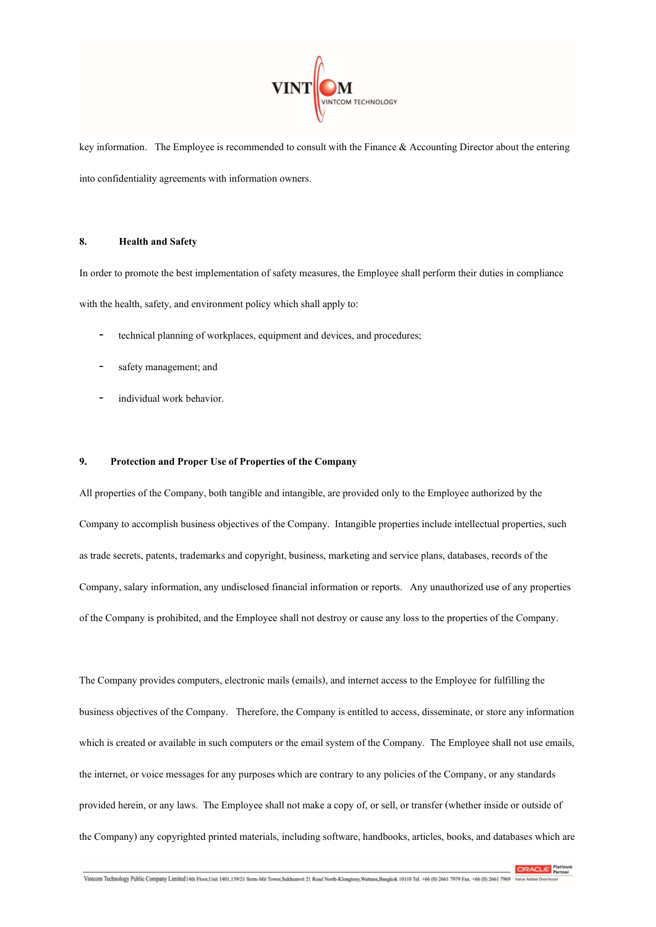

key information. The Employee is recommended to consult with the Finance & Accounting Director about the entering into confidentiality agreements with information owners.

## **8. Health and Safety**

In order to promote the best implementation of safety measures, the Employee shall perform their duties in compliance with the health, safety, and environment policy which shall apply to:

- technical planning of workplaces, equipment and devices, and procedures;
- safety management; and
- individual work behavior.

## **9. Protection and Proper Use of Properties of the Company**

All properties of the Company, both tangible and intangible, are provided only to the Employee authorized by the Company to accomplish business objectives of the Company. Intangible properties include intellectual properties, such as trade secrets, patents, trademarks and copyright, business, marketing and service plans, databases, records of the Company, salary information, any undisclosed financial information or reports. Any unauthorized use of any properties of the Company is prohibited, and the Employee shall not destroy or cause any loss to the properties of the Company.

The Company provides computers, electronic mails (emails), and internet access to the Employee for fulfilling the business objectives of the Company. Therefore, the Company is entitled to access, disseminate, or store any information which is created or available in such computers or the email system of the Company. The Employee shall not use emails, the internet, or voice messages for any purposes which are contrary to any policies of the Company, or any standards provided herein, or any laws. The Employee shall not make a copy of, or sell, or transfer (whether inside or outside of the Company) any copyrighted printed materials, including software, handbooks, articles, books, and databases which are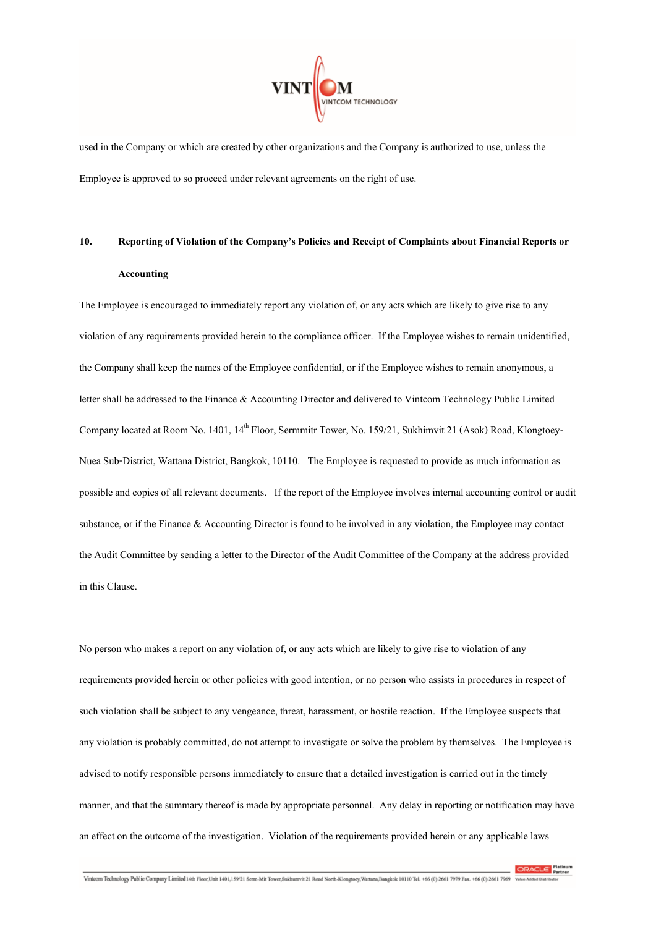

used in the Company or which are created by other organizations and the Company is authorized to use, unless the Employee is approved to soproceed under relevant agreementson the right of use.

# **10. Reporting of Violation of the Company's Policies and Receipt of Complaints about Financial Reports or Accounting**

The Employee is encouraged to immediately report any violation of, or any acts which are likely to give rise to any violation of any requirements provided herein to the compliance officer. If the Employee wishes to remain unidentified, the Company shall keep the names of the Employee confidential, or if the Employee wishes to remain anonymous, a letter shall be addressed to the Finance & Accounting Director and delivered to Vintcom Technology Public Limited Company located at Room No. 1401, 14<sup>th</sup> Floor, Sermmitr Tower, No. 159/21, Sukhimvit 21 (Asok) Road, Klongtoey-Nuea Sub-District, Wattana District, Bangkok, 10110. The Employee is requested to provide as much information as possible and copies of all relevant documents. If the report of the Employee involves internal accounting control or audit substance, or if the Finance & Accounting Director is found to be involved in any violation, the Employee may contact the Audit Committee by sending a letter to the Director of the Audit Committee of the Company at the address provided in this Clause.

No person who makes a report on any violation of, or any acts which are likely to give rise to violation of any requirements provided herein or other policies with good intention, or no person who assists in procedures in respect of such violation shall be subject to any vengeance, threat, harassment, or hostile reaction. If the Employee suspects that any violation is probably committed, do not attempt to investigate or solve the problem by themselves. The Employee is advised to notify responsible persons immediately to ensure that a detailed investigation is carried out in the timely manner, and that the summary thereof is made by appropriate personnel. Any delay in reporting or notification may have an effect on the outcome of the investigation. Violation of the requirements provided herein or any applicable laws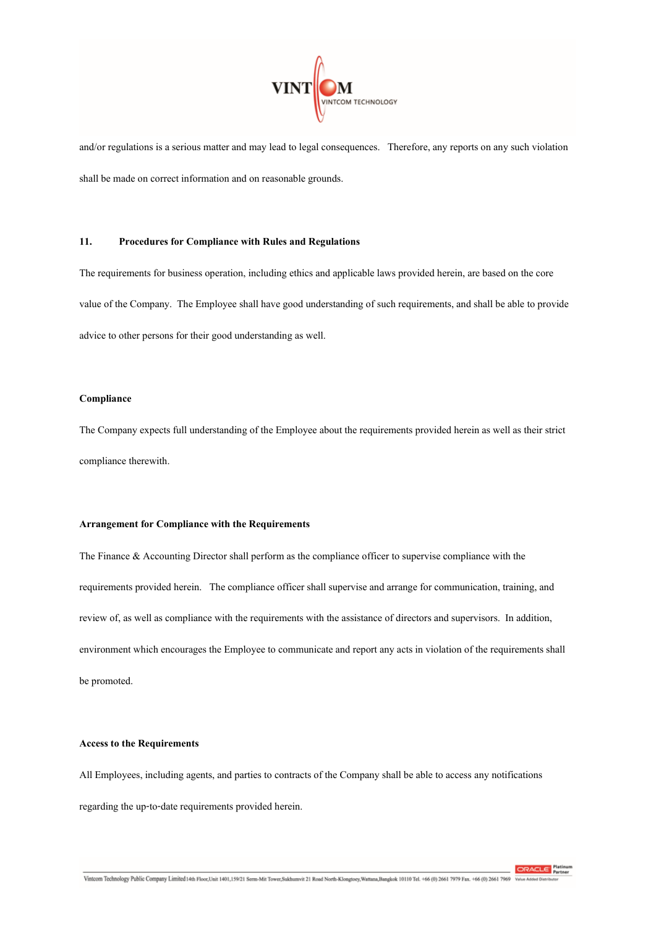

and/or regulations is a serious matter and may lead to legal consequences. Therefore, any reports on any such violation shall be made on correct information and on reasonable grounds.

# **11. Procedures for Compliance with Rules and Regulations**

The requirements for business operation, including ethics and applicable laws provided herein, are based on the core value of the Company. The Employee shall have good understanding of such requirements, and shall be able to provide advice to other persons for their good understanding as well.

### **Compliance**

The Company expects full understanding of the Employee about the requirements provided herein as well as their strict compliance therewith.

### **Arrangement for Compliance with the Requirements**

The Finance & Accounting Director shall perform as the compliance officer to supervise compliance with the requirements provided herein. The compliance officer shall supervise and arrange for communication, training, and review of, as well as compliance with the requirements with the assistance of directors and supervisors. In addition, environment which encourages the Employee to communicate and report any acts in violation of the requirements shall be promoted.

## **Access to the Requirements**

All Employees, including agents, and parties to contracts of the Company shall be able to access any notifications regarding the up-to-date requirements provided herein.

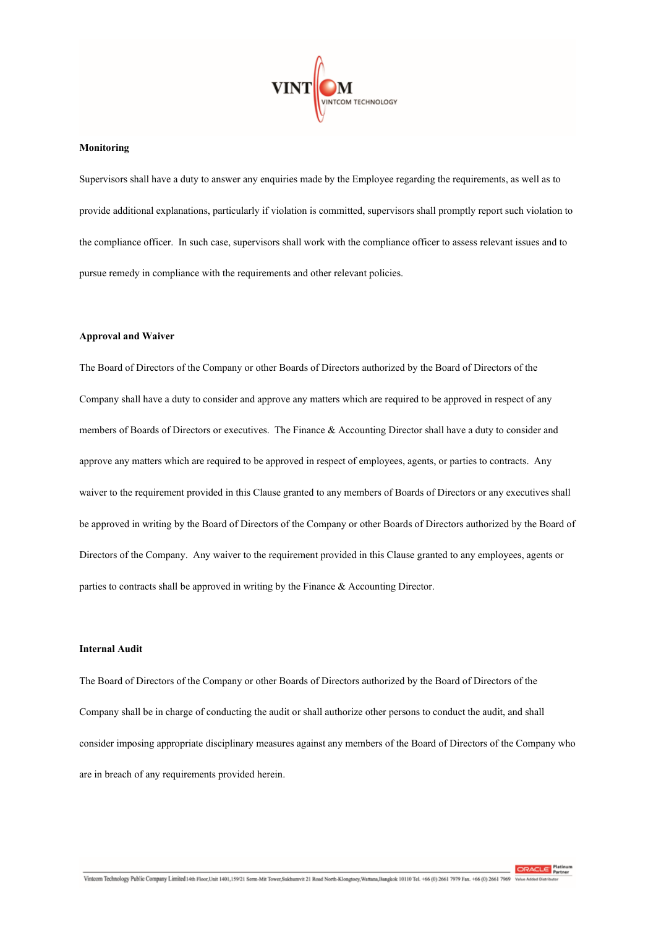

#### **Monitoring**

Supervisors shall have a duty to answer any enquiries made by the Employee regarding the requirements, as well as to provide additional explanations, particularly if violation is committed, supervisors shall promptly report such violation to the compliance officer. In such case, supervisors shall work with the compliance officer to assess relevant issues and to pursue remedy in compliance with the requirements and other relevant policies.

### **Approval and Waiver**

The Board of Directors of the Company or other Boards of Directors authorized by the Board of Directors of the Company shall have a duty to consider and approve any matters which are required to be approved in respect of any members of Boards of Directors or executives. The Finance & Accounting Director shall have a duty to consider and approve any matters which are required to be approved in respect of employees, agents, or parties to contracts. Any waiver to the requirement provided in this Clause granted to any members of Boards of Directors or any executives shall be approved in writing by the Board of Directors of the Company or other Boards of Directors authorized by the Board of Directors of the Company. Any waiver to the requirement provided in this Clause granted to any employees, agents or parties to contracts shall be approved in writing by the Finance & Accounting Director.

# **Internal Audit**

The Board of Directors of the Company or other Boards of Directors authorized by the Board of Directors of the Company shall be in charge of conducting the audit or shall authorize other persons to conduct the audit, and shall consider imposing appropriate disciplinary measures against any members of the Board of Directors of the Company who are in breach of any requirements provided herein.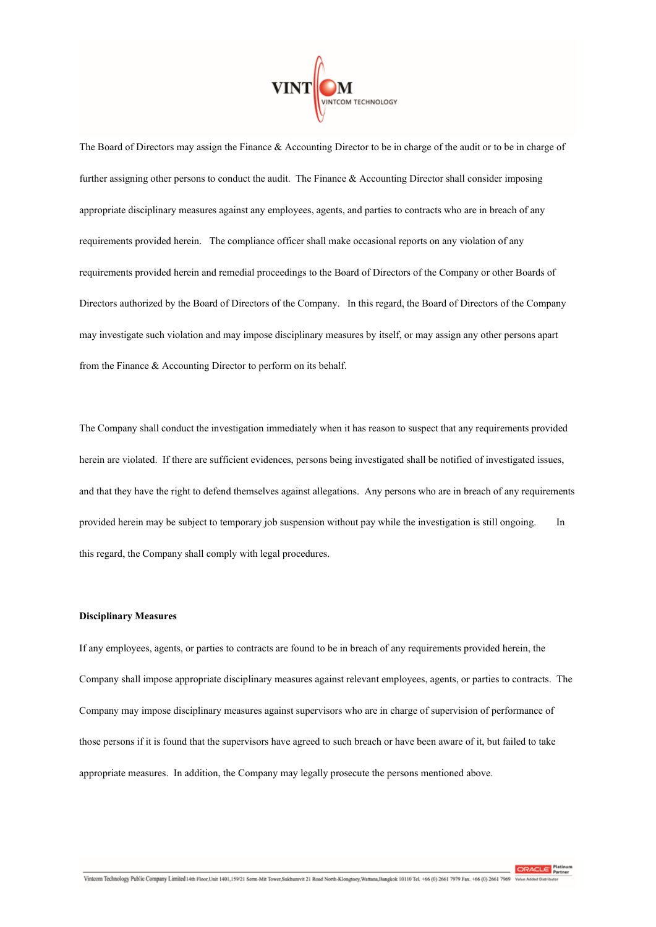

The Board of Directors may assign the Finance & Accounting Director to be in charge of the audit or to be in charge of further assigning other persons to conduct the audit. The Finance & Accounting Director shall consider imposing appropriate disciplinary measures against any employees, agents, and parties to contracts who are in breach of any requirements provided herein. The compliance officer shall make occasional reports on any violation of any requirements provided herein and remedial proceedings to the Board of Directors of the Company or other Boards of Directors authorized by the Board of Directors of the Company. In this regard, the Board of Directors of the Company may investigate such violation and may impose disciplinary measures by itself, or may assign any other persons apart from the Finance & Accounting Director to perform on its behalf.

The Company shall conduct the investigation immediately when it has reason to suspect that any requirements provided herein are violated. If there are sufficient evidences, persons being investigated shall be notified of investigated issues, and that they have the right to defend themselves against allegations. Any persons who are in breach of any requirements provided herein may be subject to temporary job suspension without pay while the investigation is still ongoing. In this regard, the Company shall comply with legal procedures.

## **Disciplinary Measures**

If any employees, agents, or parties to contracts are found to be in breach of any requirements provided herein, the Company shall impose appropriate disciplinary measures against relevant employees, agents, or parties to contracts. The Company may impose disciplinary measures against supervisors who are in charge of supervision of performance of those persons if it is found that the supervisors have agreed to such breach or have been aware of it, but failed to take appropriate measures. In addition, the Company may legally prosecute the persons mentioned above.